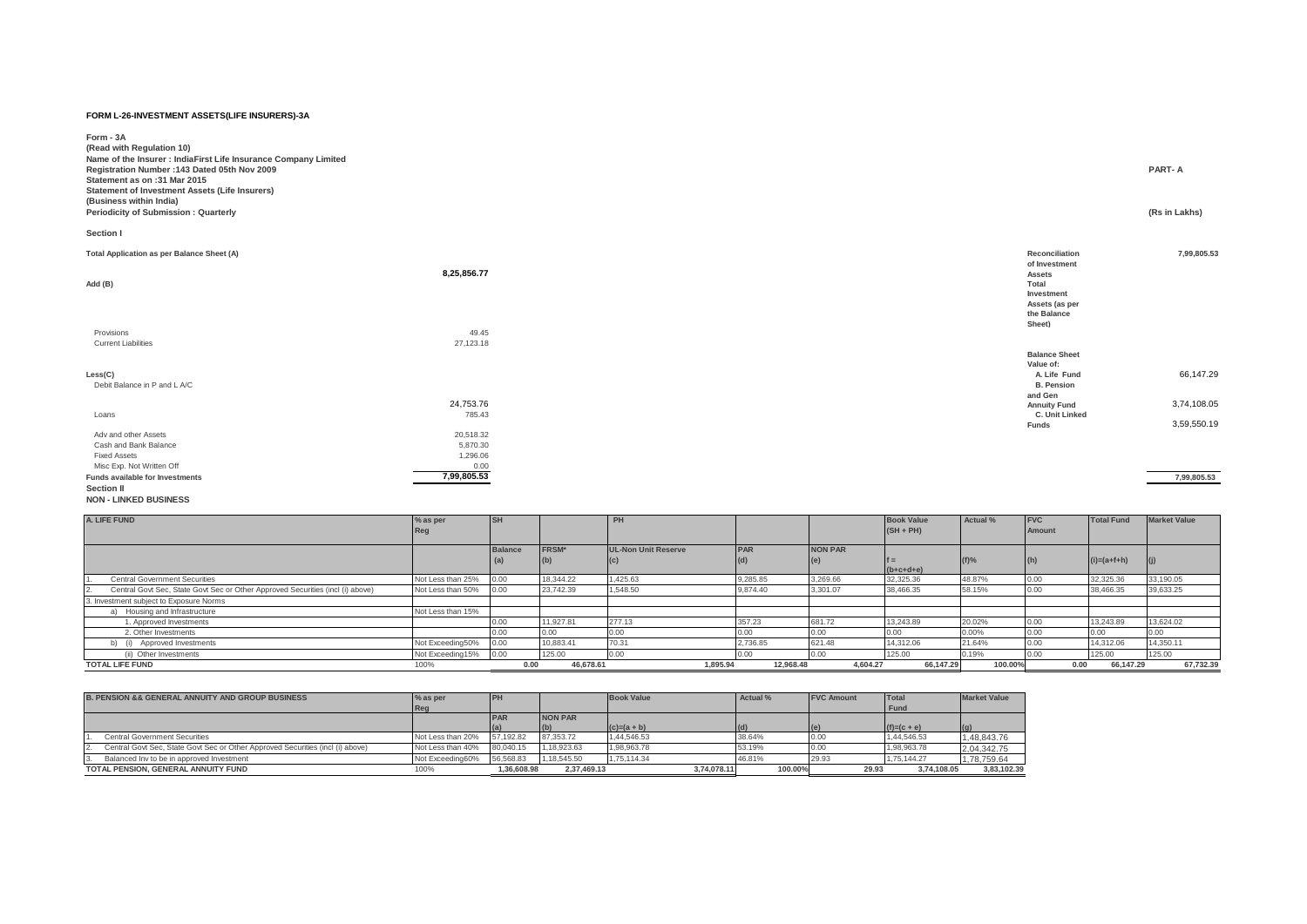## **FORM L-26-INVESTMENT ASSETS(LIFE INSURERS)-3A**

| Form - 3A<br>(Read with Regulation 10)<br>Name of the Insurer : IndiaFirst Life Insurance Company Limited<br>Registration Number: 143 Dated 05th Nov 2009<br>Statement as on :31 Mar 2015<br><b>Statement of Investment Assets (Life Insurers)</b><br>(Business within India)<br>Periodicity of Submission: Quarterly |             | PART-A                                                                                                             | (Rs in Lakhs) |
|-----------------------------------------------------------------------------------------------------------------------------------------------------------------------------------------------------------------------------------------------------------------------------------------------------------------------|-------------|--------------------------------------------------------------------------------------------------------------------|---------------|
| Section I                                                                                                                                                                                                                                                                                                             |             |                                                                                                                    |               |
| Total Application as per Balance Sheet (A)<br>Add (B)                                                                                                                                                                                                                                                                 | 8,25,856.77 | Reconciliation<br>of Investment<br><b>Assets</b><br>Total<br>Investment<br>Assets (as per<br>the Balance<br>Sheet) | 7,99,805.53   |

| 49.45       |                      |             |
|-------------|----------------------|-------------|
| 27,123.18   |                      |             |
|             | <b>Balance Sheet</b> |             |
|             | Value of:            |             |
|             | A. Life Fund         | 66,147.29   |
|             | <b>B. Pension</b>    |             |
|             | and Gen              |             |
| 24,753.76   | <b>Annuity Fund</b>  | 3,74,108.05 |
| 785.43      | C. Unit Linked       |             |
|             | Funds                | 3,59,550.19 |
| 20,518.32   |                      |             |
| 5,870.30    |                      |             |
| 1,296.06    |                      |             |
| 0.00        |                      |             |
| 7,99,805.53 |                      | 7,99,805.53 |
|             |                      |             |
|             |                      |             |
|             |                      |             |

| A. LIFE FUND                                                                   | % as per<br>Reg   |                |              | PH                         |            |                | <b>Book Value</b><br>$(SH + PH)$ | Actual % | <b>IFVC</b><br>Amount | <b>Total Fund</b> | <b>Market Value</b> |
|--------------------------------------------------------------------------------|-------------------|----------------|--------------|----------------------------|------------|----------------|----------------------------------|----------|-----------------------|-------------------|---------------------|
|                                                                                |                   | <b>Balance</b> | <b>FRSM*</b> | <b>UL-Non Unit Reserve</b> | <b>PAR</b> | <b>NON PAR</b> |                                  |          |                       |                   |                     |
|                                                                                |                   |                |              |                            |            |                | $(b+c+d+e)$                      | $(f)$ %  | $\vert$ (h)           | $(i)=(a+f+h)$     |                     |
| <b>Central Government Securities</b>                                           | Not Less than 25% | 0.00           | 18,344.22    | 1.425.63                   | 9,285.85   | 3,269.66       | 32,325.36                        | 48.87%   | 0.00                  | 32,325.36         | 33,190.05           |
| Central Govt Sec, State Govt Sec or Other Approved Securities (incl (i) above) | Not Less than 50% | 0.00           | 23.742.39    | 1.548.50                   | 9,874.40   | 3,301.07       | 38,466.35                        | 58.15%   | 0.00                  | 38,466.35         | 39,633.25           |
| 3. Investment subject to Exposure Norms                                        |                   |                |              |                            |            |                |                                  |          |                       |                   |                     |
| Housing and Infrastructure                                                     | Not Less than 15% |                |              |                            |            |                |                                  |          |                       |                   |                     |
| 1. Approved Investments                                                        |                   | 0.00           | 11.927.81    | 277.13                     | 357.23     | 681.72         | 13,243.89                        | 20.02%   | 0.00                  | 13.243.89         | 13,624.02           |
| 2. Other Investments                                                           |                   | 0.00           | 0.00         | 0.00                       |            | 0.00           | 0.00                             | 0.00%    | 0.00                  | 0.00              | 10.00               |
| Approved Investments                                                           | Not Exceeding50%  | 0.00           | 10.883.41    | 70.31                      | 2,736.85   | 621.48         | 14.312.06                        | 21.64%   | 0.00                  | 14.312.06         | 14.350.11           |
| (ii) Other Investments                                                         | Not Exceeding15%  | 0.00           | 125.00       | 0.00                       |            | '0.00          | 125.00                           | 0.19%    |                       | 125.00            | 125.00              |
| <b>TOTAL LIFE FUND</b>                                                         | 100%              | 0.00           | 46.678.61    | 1.895.94                   | 12.968.48  | 4.604.27       | 66,147.29                        | 100.00%  | 0.00                  | 66.147.29         | 67.732.39           |

| <b>B. PENSION &amp;&amp; GENERAL ANNUITY AND GROUP BUSINESS</b>                | $%$ as per        | <b>IPH</b> |             | <b>Book Value</b> | Actual % | <b>FVC Amount</b> | Total         | <b>Market Value</b> |
|--------------------------------------------------------------------------------|-------------------|------------|-------------|-------------------|----------|-------------------|---------------|---------------------|
|                                                                                | Reg               |            |             |                   |          |                   | Fund          |                     |
|                                                                                |                   | <b>PAR</b> | NON PAR     |                   |          |                   |               |                     |
|                                                                                |                   |            | (b)         | $(c)=(a + b)$     | (d)      |                   | $(f)=(c + e)$ |                     |
| <b>Central Government Securities</b>                                           | Not Less than 20% | 57.192.82  | 87.353.72   | 1,44,546.53       | 38.64%   | $-0.00$           | 1,44,546.53   | 1.48.843.76         |
| Central Govt Sec, State Govt Sec or Other Approved Securities (incl (i) above) | Not Less than 40% | 80.040.15  | 1.18.923.63 | 1.98.963.78       | 53.19%   | 0.OC              | 1.98.963.78   | 2,04,342.75         |
| Balanced Inv to be in approved Investment                                      | Not Exceeding60%  | 56.568.83  | 1.18.545.50 | 1.75.114.34       | 46.81%   | 29.93             | 1.75.144.27   | 1,78,759.64         |
| TOTAL PENSION, GENERAL ANNUITY FUND                                            | 100%              | .36.608.98 | 2.37.469.13 | 3.74.078.11       | 100.00%  | 29.93             | 3.74.108.05   | 3.83.102.39         |